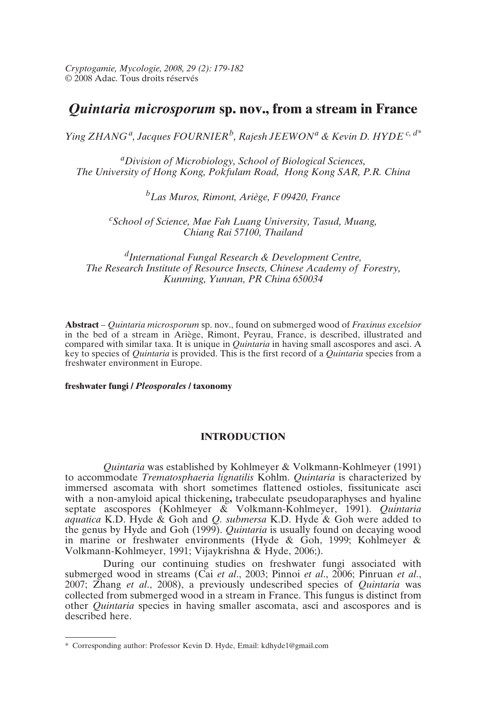*Cryptogamie, Mycologie, 2008, 29 (2): 179-182* © 2008 Adac. Tous droits réservés

# *Quintaria microsporum* **sp. nov., from a stream in France**

*Ying ZHANG a, Jacques FOURNIERb, Rajesh JEEWON<sup>a</sup> & Kevin D. HYDE c, d\**

*aDivision of Microbiology, School of Biological Sciences, The University of Hong Kong, Pokfulam Road, Hong Kong SAR, P.R. China*

*bLas Muros, Rimont, Ariège, F 09420, France*

*c School of Science, Mae Fah Luang University, Tasud, Muang, Chiang Rai 57100, Thailand*

*dInternational Fungal Research & Development Centre, The Research Institute of Resource Insects, Chinese Academy of Forestry, Kunming, Yunnan, PR China 650034*

**Abstract** – *Quintaria microsporum* sp. nov., found on submerged wood of *Fraxinus excelsior* in the bed of a stream in Ariège, Rimont, Peyrau, France, is described, illustrated and compared with similar taxa. It is unique in *Quintaria* in having small ascospores and asci. A key to species of *Quintaria* is provided. This is the first record of a *Quintaria* species from a freshwater environment in Europe.

**freshwater fungi /** *Pleosporales* **/ taxonomy**

# **INTRODUCTION**

*Quintaria* was established by Kohlmeyer & Volkmann-Kohlmeyer (1991) to accommodate *Trematosphaeria lignatilis* Kohlm. *Quintaria* is characterized by immersed ascomata with short sometimes flattened ostioles, fissitunicate asci with a non-amyloid apical thickening**,** trabeculate pseudoparaphyses and hyaline septate ascospores (Kohlmeyer & Volkmann-Kohlmeyer, 1991). *Quintaria aquatica* K.D. Hyde & Goh and *Q. submersa* K.D. Hyde & Goh were added to the genus by Hyde and Goh (1999). *Quintaria* is usually found on decaying wood in marine or freshwater environments (Hyde & Goh, 1999; Kohlmeyer & Volkmann-Kohlmeyer, 1991; Vijaykrishna & Hyde, 2006;).

During our continuing studies on freshwater fungi associated with submerged wood in streams (Cai *et al*., 2003; Pinnoi *et al*., 2006; Pinruan *et al*., 2007; Zhang *et al*., 2008), a previously undescribed species of *Quintaria* was collected from submerged wood in a stream in France. This fungus is distinct from other *Quintaria* species in having smaller ascomata, asci and ascospores and is described here.

<sup>\*</sup> Corresponding author: Professor Kevin D. Hyde, Email: kdhyde1@gmail.com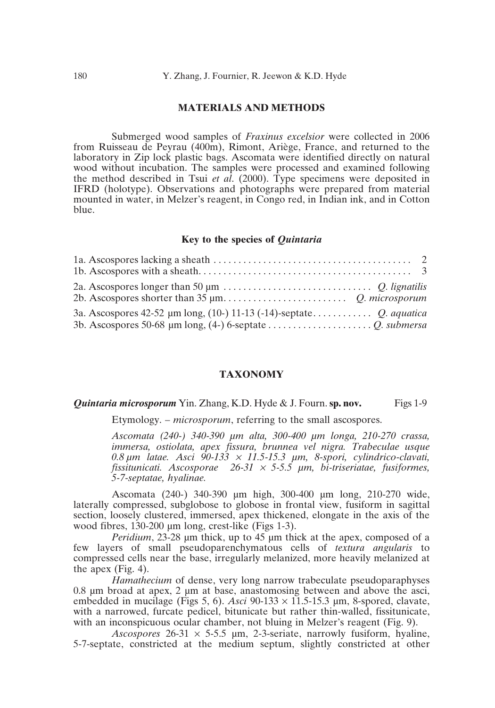## **MATERIALS AND METHODS**

Submerged wood samples of *Fraxinus excelsior* were collected in 2006 from Ruisseau de Peyrau (400m), Rimont, Ariège, France, and returned to the laboratory in Zip lock plastic bags. Ascomata were identified directly on natural wood without incubation. The samples were processed and examined following the method described in Tsui *et al*. (2000). Type specimens were deposited in IFRD (holotype). Observations and photographs were prepared from material mounted in water, in Melzer's reagent, in Congo red, in Indian ink, and in Cotton blue.

#### **Key to the species of** *Quintaria*

#### **TAXONOMY**

#### *Quintaria microsporum* Yin. Zhang, K.D. Hyde & J. Fourn. **sp. nov.** Figs 1-9

Etymology. – *microsporum*, referring to the small ascospores.

*Ascomata (240-) 340-390 µm alta, 300-400 µm longa, 210-270 crassa, immersa, ostiolata, apex fissura, brunnea vel nigra. Trabeculae usque 0.8 µm latae. Asci 90-133* <sup>×</sup> *11.5-15.3 µm, 8-spori, cylindrico-clavati, fissitunicati. Ascosporae 26-31* <sup>×</sup> *5-5.5 µm, bi-triseriatae, fusiformes, 5-7-septatae, hyalinae.*

Ascomata (240-) 340-390 µm high, 300-400 µm long, 210-270 wide, laterally compressed, subglobose to globose in frontal view, fusiform in sagittal section, loosely clustered, immersed, apex thickened, elongate in the axis of the wood fibres, 130-200 µm long, crest-like (Figs 1-3).

*Peridium*, 23-28 µm thick, up to 45 µm thick at the apex, composed of a few layers of small pseudoparenchymatous cells of *textura angularis* to compressed cells near the base, irregularly melanized, more heavily melanized at the apex (Fig. 4).

*Hamathecium* of dense, very long narrow trabeculate pseudoparaphyses 0.8 µm broad at apex, 2 µm at base, anastomosing between and above the asci, embedded in mucilage (Figs 5, 6). *Asci* 90-133 × 11.5-15.3 µm, 8-spored, clavate, with a narrowed, furcate pedicel, bitunicate but rather thin-walled, fissitunicate, with an inconspicuous ocular chamber, not bluing in Melzer's reagent (Fig. 9).

*Ascospores*  $26-31 \times 5-5.5 \mu m$ , 2-3-seriate, narrowly fusiform, hyaline, 5-7-septate, constricted at the medium septum, slightly constricted at other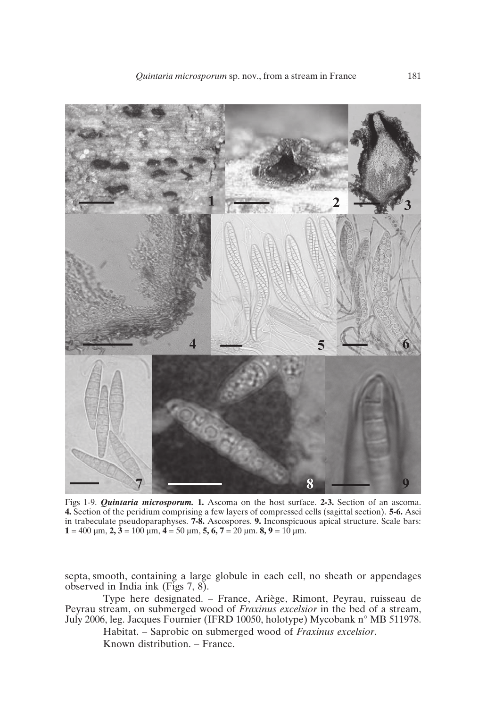

Figs 1-9. *Quintaria microsporum.* **1.** Ascoma on the host surface. **2-3.** Section of an ascoma. **4.** Section of the peridium comprising a few layers of compressed cells (sagittal section). **5-6.** Asci in trabeculate pseudoparaphyses. **7-8.** Ascospores. **9.** Inconspicuous apical structure. Scale bars: **1** = 400  $\mu$ m, **2**, **3** = 100  $\mu$ m, **4** = 50  $\mu$ m, **5, 6, 7** = 20  $\mu$ m. **8, 9** = 10  $\mu$ m.

septa, smooth, containing a large globule in each cell, no sheath or appendages observed in India ink (Figs 7, 8).

Type here designated. – France, Ariège, Rimont, Peyrau, ruisseau de Peyrau stream, on submerged wood of *Fraxinus excelsior* in the bed of a stream, July 2006, leg. Jacques Fournier (IFRD 10050, holotype) Mycobank n° MB 511978.

Habitat. – Saprobic on submerged wood of *Fraxinus excelsior*. Known distribution. – France.